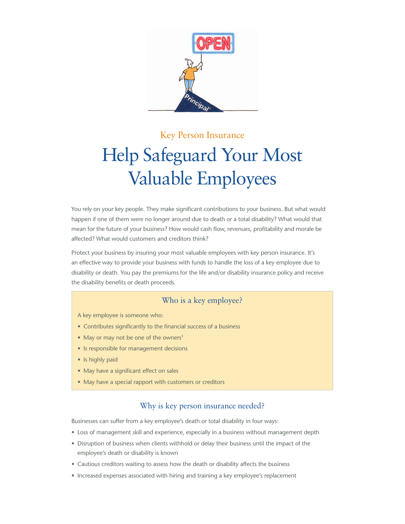

## Key Person Insurance

# Help Safeguard Your Most Valuable Employees

You rely on your key people. They make significant contributions to your business. But what would happen if one of them were no longer around due to death or a total disability? What would that mean for the future of your business? How would cash flow, revenues, profitability and morale be affected? What would customers and creditors think?

Protect your business by insuring your most valuable employees with key person insurance. It's an effective way to provide your business with funds to handle the loss of a key employee due to disability or death. You pay the premiums for the life and/or disability insurance policy and receive the disability benefits or death proceeds.

## Who is a key employee?

A key employee is someone who:

- Contributes significantly to the financial success of a business
- May or may not be one of the owners<sup>1</sup>
- Is responsible for management decisions
- Is highly paid
- May have a significant effect on sales
- May have a special rapport with customers or creditors

### Why is key person insurance needed?

Businesses can suffer from a key employee's death or total disability in four ways:

- • Loss of management skill and experience, especially in a business without management depth
- • Disruption of business when clients withhold or delay their business until the impact of the employee's death or disability is known
- Cautious creditors waiting to assess how the death or disability affects the business
- Increased expenses associated with hiring and training a key employee's replacement